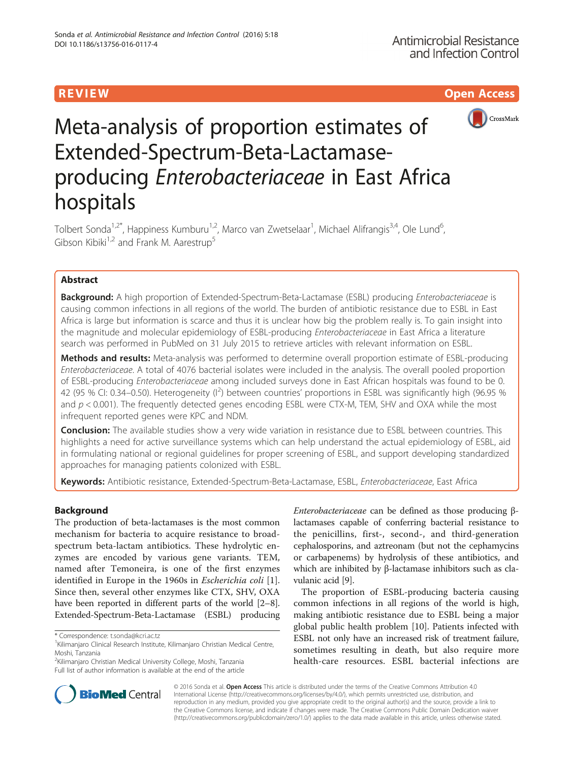R EVI EW Open Access



# Meta-analysis of proportion estimates of Extended-Spectrum-Beta-Lactamaseproducing Enterobacteriaceae in East Africa hospitals

Tolbert Sonda<sup>1,2\*</sup>, Happiness Kumburu<sup>1,2</sup>, Marco van Zwetselaar<sup>1</sup>, Michael Alifrangis<sup>3,4</sup>, Ole Lund<sup>6</sup> , Gibson Kibiki<sup>1,2</sup> and Frank M. Aarestrup<sup>5</sup>

# Abstract

Background: A high proportion of Extended-Spectrum-Beta-Lactamase (ESBL) producing Enterobacteriaceae is causing common infections in all regions of the world. The burden of antibiotic resistance due to ESBL in East Africa is large but information is scarce and thus it is unclear how big the problem really is. To gain insight into the magnitude and molecular epidemiology of ESBL-producing *Enterobacteriaceae* in East Africa a literature search was performed in PubMed on 31 July 2015 to retrieve articles with relevant information on ESBL.

Methods and results: Meta-analysis was performed to determine overall proportion estimate of ESBL-producing Enterobacteriaceae. A total of 4076 bacterial isolates were included in the analysis. The overall pooled proportion of ESBL-producing Enterobacteriaceae among included surveys done in East African hospitals was found to be 0. 42 (95 % CI: 0.34–0.50). Heterogeneity ( $1^2$ ) between countries' proportions in ESBL was significantly high (96.95 % and  $p < 0.001$ ). The frequently detected genes encoding ESBL were CTX-M, TEM, SHV and OXA while the most infrequent reported genes were KPC and NDM.

Conclusion: The available studies show a very wide variation in resistance due to ESBL between countries. This highlights a need for active surveillance systems which can help understand the actual epidemiology of ESBL, aid in formulating national or regional guidelines for proper screening of ESBL, and support developing standardized approaches for managing patients colonized with ESBL.

Keywords: Antibiotic resistance, Extended-Spectrum-Beta-Lactamase, ESBL, Enterobacteriaceae, East Africa

## Background

The production of beta-lactamases is the most common mechanism for bacteria to acquire resistance to broadspectrum beta-lactam antibiotics. These hydrolytic enzymes are encoded by various gene variants. TEM, named after Temoneira, is one of the first enzymes identified in Europe in the 1960s in Escherichia coli [\[1](#page-7-0)]. Since then, several other enzymes like CTX, SHV, OXA have been reported in different parts of the world [[2](#page-7-0)–[8](#page-7-0)]. Extended-Spectrum-Beta-Lactamase (ESBL) producing

<sup>2</sup>Kilimanjaro Christian Medical University College, Moshi, Tanzania Full list of author information is available at the end of the article



The proportion of ESBL-producing bacteria causing common infections in all regions of the world is high, making antibiotic resistance due to ESBL being a major global public health problem [\[10](#page-7-0)]. Patients infected with ESBL not only have an increased risk of treatment failure, sometimes resulting in death, but also require more health-care resources. ESBL bacterial infections are



© 2016 Sonda et al. Open Access This article is distributed under the terms of the Creative Commons Attribution 4.0 International License [\(http://creativecommons.org/licenses/by/4.0/](http://creativecommons.org/licenses/by/4.0/)), which permits unrestricted use, distribution, and reproduction in any medium, provided you give appropriate credit to the original author(s) and the source, provide a link to the Creative Commons license, and indicate if changes were made. The Creative Commons Public Domain Dedication waiver [\(http://creativecommons.org/publicdomain/zero/1.0/](http://creativecommons.org/publicdomain/zero/1.0/)) applies to the data made available in this article, unless otherwise stated.

<sup>\*</sup> Correspondence: [t.sonda@kcri.ac.tz](mailto:t.sonda@kcri.ac.tz) <sup>1</sup>

 $1$ Kilimanjaro Clinical Research Institute, Kilimanjaro Christian Medical Centre, Moshi, Tanzania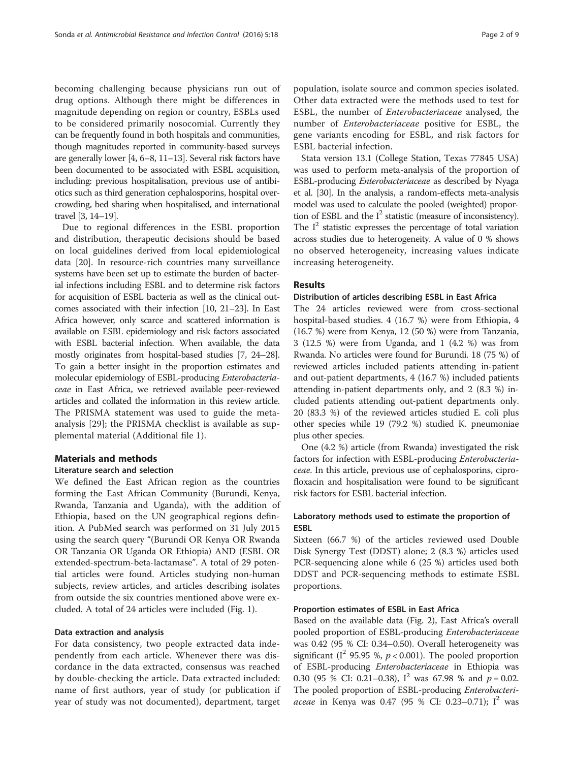becoming challenging because physicians run out of drug options. Although there might be differences in magnitude depending on region or country, ESBLs used to be considered primarily nosocomial. Currently they can be frequently found in both hospitals and communities, though magnitudes reported in community-based surveys are generally lower [[4](#page-7-0), [6](#page-7-0)–[8](#page-7-0), [11](#page-7-0)–[13](#page-7-0)]. Several risk factors have been documented to be associated with ESBL acquisition, including: previous hospitalisation, previous use of antibiotics such as third generation cephalosporins, hospital overcrowding, bed sharing when hospitalised, and international

travel [[3](#page-7-0), [14](#page-7-0)–[19\]](#page-7-0). Due to regional differences in the ESBL proportion and distribution, therapeutic decisions should be based on local guidelines derived from local epidemiological data [[20](#page-7-0)]. In resource-rich countries many surveillance systems have been set up to estimate the burden of bacterial infections including ESBL and to determine risk factors for acquisition of ESBL bacteria as well as the clinical outcomes associated with their infection [\[10, 21](#page-7-0)–[23\]](#page-7-0). In East Africa however, only scarce and scattered information is available on ESBL epidemiology and risk factors associated with ESBL bacterial infection. When available, the data mostly originates from hospital-based studies [\[7](#page-7-0), [24](#page-8-0)–[28](#page-8-0)]. To gain a better insight in the proportion estimates and molecular epidemiology of ESBL-producing Enterobacteriaceae in East Africa, we retrieved available peer-reviewed articles and collated the information in this review article. The PRISMA statement was used to guide the metaanalysis [\[29\]](#page-8-0); the PRISMA checklist is available as supplemental material (Additional file [1\)](#page-7-0).

#### Materials and methods

#### Literature search and selection

We defined the East African region as the countries forming the East African Community (Burundi, Kenya, Rwanda, Tanzania and Uganda), with the addition of Ethiopia, based on the UN geographical regions definition. A PubMed search was performed on 31 July 2015 using the search query "(Burundi OR Kenya OR Rwanda OR Tanzania OR Uganda OR Ethiopia) AND (ESBL OR extended-spectrum-beta-lactamase". A total of 29 potential articles were found. Articles studying non-human subjects, review articles, and articles describing isolates from outside the six countries mentioned above were excluded. A total of 24 articles were included (Fig. [1](#page-2-0)).

#### Data extraction and analysis

For data consistency, two people extracted data independently from each article. Whenever there was discordance in the data extracted, consensus was reached by double-checking the article. Data extracted included: name of first authors, year of study (or publication if year of study was not documented), department, target

population, isolate source and common species isolated. Other data extracted were the methods used to test for ESBL, the number of Enterobacteriaceae analysed, the number of Enterobacteriaceae positive for ESBL, the gene variants encoding for ESBL, and risk factors for ESBL bacterial infection.

Stata version 13.1 (College Station, Texas 77845 USA) was used to perform meta-analysis of the proportion of ESBL-producing Enterobacteriaceae as described by Nyaga et al. [\[30\]](#page-8-0). In the analysis, a random-effects meta-analysis model was used to calculate the pooled (weighted) proportion of ESBL and the  $I^2$  statistic (measure of inconsistency). The  $I^2$  statistic expresses the percentage of total variation across studies due to heterogeneity. A value of 0 % shows no observed heterogeneity, increasing values indicate increasing heterogeneity.

## Results

#### Distribution of articles describing ESBL in East Africa

The 24 articles reviewed were from cross-sectional hospital-based studies. 4 (16.7 %) were from Ethiopia, 4 (16.7 %) were from Kenya, 12 (50 %) were from Tanzania, 3 (12.5 %) were from Uganda, and 1 (4.2 %) was from Rwanda. No articles were found for Burundi. 18 (75 %) of reviewed articles included patients attending in-patient and out-patient departments, 4 (16.7 %) included patients attending in-patient departments only, and 2 (8.3 %) included patients attending out-patient departments only. 20 (83.3 %) of the reviewed articles studied E. coli plus other species while 19 (79.2 %) studied K. pneumoniae plus other species.

One (4.2 %) article (from Rwanda) investigated the risk factors for infection with ESBL-producing Enterobacteriaceae. In this article, previous use of cephalosporins, ciprofloxacin and hospitalisation were found to be significant risk factors for ESBL bacterial infection.

## Laboratory methods used to estimate the proportion of ESBL

Sixteen (66.7 %) of the articles reviewed used Double Disk Synergy Test (DDST) alone; 2 (8.3 %) articles used PCR-sequencing alone while 6 (25 %) articles used both DDST and PCR-sequencing methods to estimate ESBL proportions.

## Proportion estimates of ESBL in East Africa

Based on the available data (Fig. [2](#page-3-0)), East Africa's overall pooled proportion of ESBL-producing Enterobacteriaceae was 0.42 (95 % CI: 0.34–0.50). Overall heterogeneity was significant ( $I^2$  95.95 %,  $p < 0.001$ ). The pooled proportion of ESBL-producing Enterobacteriaceae in Ethiopia was 0.30 (95 % CI: 0.21–0.38),  $I^2$  was 67.98 % and  $p = 0.02$ . The pooled proportion of ESBL-producing Enterobacteri*aceae* in Kenya was 0.47 (95 % CI: 0.23–0.71);  $I^2$  was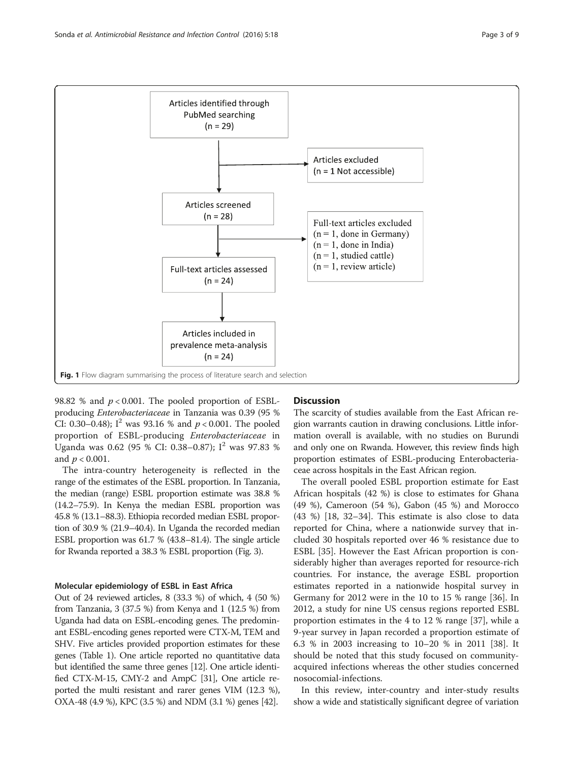<span id="page-2-0"></span>

98.82 % and  $p < 0.001$ . The pooled proportion of ESBLproducing Enterobacteriaceae in Tanzania was 0.39 (95 % CI: 0.30–0.48);  $I^2$  was 93.16 % and  $p < 0.001$ . The pooled proportion of ESBL-producing Enterobacteriaceae in Uganda was 0.62 (95 % CI: 0.38–0.87); I<sup>2</sup> was 97.83 % and  $p < 0.001$ .

The intra-country heterogeneity is reflected in the range of the estimates of the ESBL proportion. In Tanzania, the median (range) ESBL proportion estimate was 38.8 % (14.2–75.9). In Kenya the median ESBL proportion was 45.8 % (13.1–88.3). Ethiopia recorded median ESBL proportion of 30.9 % (21.9–40.4). In Uganda the recorded median ESBL proportion was 61.7 % (43.8–81.4). The single article for Rwanda reported a 38.3 % ESBL proportion (Fig. [3](#page-4-0)).

#### Molecular epidemiology of ESBL in East Africa

Out of 24 reviewed articles, 8 (33.3 %) of which, 4 (50 %) from Tanzania, 3 (37.5 %) from Kenya and 1 (12.5 %) from Uganda had data on ESBL-encoding genes. The predominant ESBL-encoding genes reported were CTX-M, TEM and SHV. Five articles provided proportion estimates for these genes (Table [1](#page-5-0)). One article reported no quantitative data but identified the same three genes [[12](#page-7-0)]. One article identified CTX-M-15, CMY-2 and AmpC [\[31\]](#page-8-0), One article reported the multi resistant and rarer genes VIM (12.3 %), OXA-48 (4.9 %), KPC (3.5 %) and NDM (3.1 %) genes [\[42](#page-8-0)].

## **Discussion**

The scarcity of studies available from the East African region warrants caution in drawing conclusions. Little information overall is available, with no studies on Burundi and only one on Rwanda. However, this review finds high proportion estimates of ESBL-producing Enterobacteriaceae across hospitals in the East African region.

The overall pooled ESBL proportion estimate for East African hospitals (42 %) is close to estimates for Ghana (49 %), Cameroon (54 %), Gabon (45 %) and Morocco (43 %) [[18,](#page-7-0) [32](#page-8-0)–[34\]](#page-8-0). This estimate is also close to data reported for China, where a nationwide survey that included 30 hospitals reported over 46 % resistance due to ESBL [\[35](#page-8-0)]. However the East African proportion is considerably higher than averages reported for resource-rich countries. For instance, the average ESBL proportion estimates reported in a nationwide hospital survey in Germany for 2012 were in the 10 to 15 % range [\[36](#page-8-0)]. In 2012, a study for nine US census regions reported ESBL proportion estimates in the 4 to 12 % range [\[37\]](#page-8-0), while a 9-year survey in Japan recorded a proportion estimate of 6.3 % in 2003 increasing to 10–20 % in 2011 [\[38](#page-8-0)]. It should be noted that this study focused on communityacquired infections whereas the other studies concerned nosocomial-infections.

In this review, inter-country and inter-study results show a wide and statistically significant degree of variation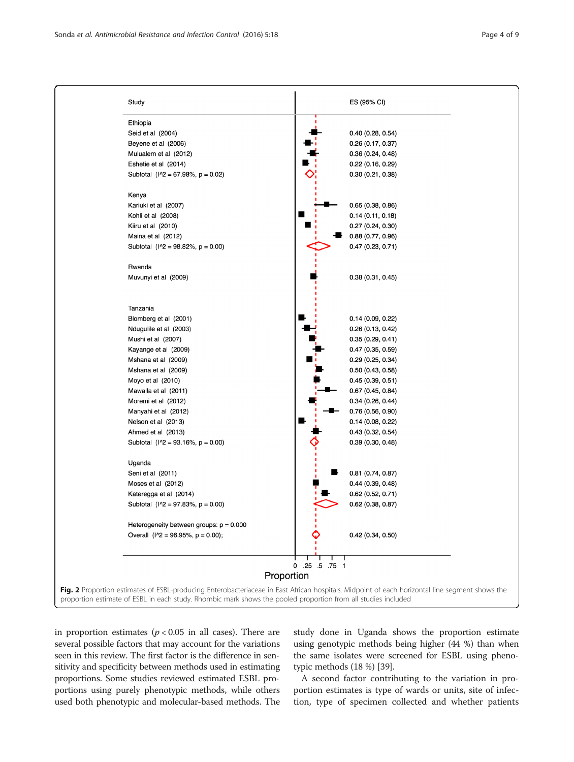<span id="page-3-0"></span>

| Ethiopia                                  |                                 |  |
|-------------------------------------------|---------------------------------|--|
| Seid et al (2004)                         | 0.40(0.28, 0.54)                |  |
| Beyene et al (2006)                       | 0.26(0.17, 0.37)                |  |
| Mulualem et al (2012)                     | 0.36(0.24, 0.48)                |  |
| Eshetie et al (2014)                      | 0.22(0.16, 0.29)                |  |
| Subtotal $(1^2 = 67.98\% , p = 0.02)$     | 0.30(0.21, 0.38)                |  |
| Kenya                                     |                                 |  |
| Kariuki et al (2007)                      | 0.65(0.38, 0.86)                |  |
| Kohli et al (2008)                        | 0.14(0.11, 0.18)                |  |
| Kiiru et al (2010)                        | 0.27(0.24, 0.30)                |  |
| Maina et al (2012)                        | 0.88(0.77, 0.96)                |  |
| Subtotal $(1^2 = 98.82\% , p = 0.00)$     | 0.47(0.23, 0.71)                |  |
| Rwanda                                    |                                 |  |
| Muvunyi et al (2009)                      | 0.38(0.31, 0.45)                |  |
| Tanzania                                  |                                 |  |
| Blomberg et al (2001)                     | 0.14(0.09, 0.22)                |  |
| Ndugulile et al (2003)                    | 0.26(0.13, 0.42)                |  |
| Mushi et al (2007)                        | 0.35(0.29, 0.41)                |  |
| Kayange et al (2009)                      | 0.47(0.35, 0.59)                |  |
| Mshana et al (2009)                       | 0.29(0.25, 0.34)                |  |
| Mshana et al (2009)                       | 0.50(0.43, 0.58)                |  |
| Moyo et al (2010)                         | 0.45(0.39, 0.51)                |  |
| Mawalla et al (2011)                      | 0.67(0.45, 0.84)                |  |
| Moremi et al (2012)                       | 0.34(0.26, 0.44)                |  |
| Manyahi et al (2012)                      | 0.76(0.56, 0.90)                |  |
| Nelson et al (2013)                       | 0.14(0.08, 0.22)                |  |
| Ahmed et al (2013)                        | 0.43(0.32, 0.54)                |  |
| Subtotal $(1^2 = 93.16\% , p = 0.00)$     | 0.39(0.30, 0.48)                |  |
| Uganda                                    |                                 |  |
| Seni et al (2011)                         | 0.81 (0.74, 0.87)               |  |
| Moses et al (2012)                        | 0.44(0.39, 0.48)                |  |
| Kateregga et al (2014)                    | 0.62(0.52, 0.71)                |  |
| Subtotal $(1^2 = 97.83\%, p = 0.00)$      | $0.62$ (0.38, 0.87)             |  |
| Heterogeneity between groups: $p = 0.000$ |                                 |  |
| Overall $(1^2 = 96.95\%, p = 0.00)$ ;     | 0.42(0.34, 0.50)                |  |
|                                           | .25 .5 .75 1<br>0<br>Proportion |  |

in proportion estimates  $(p < 0.05$  in all cases). There are several possible factors that may account for the variations seen in this review. The first factor is the difference in sensitivity and specificity between methods used in estimating proportions. Some studies reviewed estimated ESBL proportions using purely phenotypic methods, while others used both phenotypic and molecular-based methods. The study done in Uganda shows the proportion estimate using genotypic methods being higher (44 %) than when the same isolates were screened for ESBL using phenotypic methods (18 %) [[39](#page-8-0)].

A second factor contributing to the variation in proportion estimates is type of wards or units, site of infection, type of specimen collected and whether patients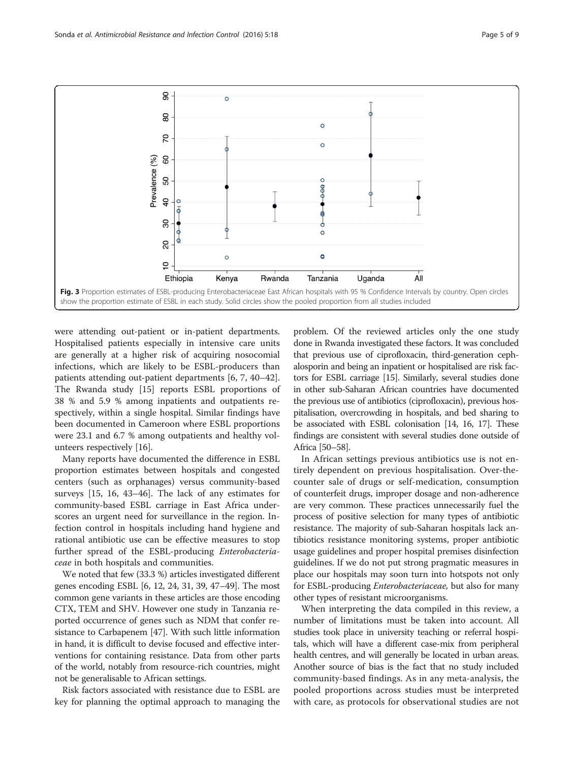<span id="page-4-0"></span>

were attending out-patient or in-patient departments. Hospitalised patients especially in intensive care units are generally at a higher risk of acquiring nosocomial infections, which are likely to be ESBL-producers than patients attending out-patient departments [\[6](#page-7-0), [7](#page-7-0), [40](#page-8-0)–[42](#page-8-0)]. The Rwanda study [[15](#page-7-0)] reports ESBL proportions of 38 % and 5.9 % among inpatients and outpatients respectively, within a single hospital. Similar findings have been documented in Cameroon where ESBL proportions were 23.1 and 6.7 % among outpatients and healthy volunteers respectively [\[16](#page-7-0)].

Many reports have documented the difference in ESBL proportion estimates between hospitals and congested centers (such as orphanages) versus community-based surveys [[15](#page-7-0), [16](#page-7-0), [43](#page-8-0)–[46](#page-8-0)]. The lack of any estimates for community-based ESBL carriage in East Africa underscores an urgent need for surveillance in the region. Infection control in hospitals including hand hygiene and rational antibiotic use can be effective measures to stop further spread of the ESBL-producing Enterobacteriaceae in both hospitals and communities.

We noted that few (33.3 %) articles investigated different genes encoding ESBL [\[6](#page-7-0), [12,](#page-7-0) [24, 31](#page-8-0), [39](#page-8-0), [47](#page-8-0)–[49](#page-8-0)]. The most common gene variants in these articles are those encoding CTX, TEM and SHV. However one study in Tanzania reported occurrence of genes such as NDM that confer resistance to Carbapenem [\[47\]](#page-8-0). With such little information in hand, it is difficult to devise focused and effective interventions for containing resistance. Data from other parts of the world, notably from resource-rich countries, might not be generalisable to African settings.

Risk factors associated with resistance due to ESBL are key for planning the optimal approach to managing the

problem. Of the reviewed articles only the one study done in Rwanda investigated these factors. It was concluded that previous use of ciprofloxacin, third-generation cephalosporin and being an inpatient or hospitalised are risk factors for ESBL carriage [\[15\]](#page-7-0). Similarly, several studies done in other sub-Saharan African countries have documented the previous use of antibiotics (ciprofloxacin), previous hospitalisation, overcrowding in hospitals, and bed sharing to be associated with ESBL colonisation [\[14, 16, 17\]](#page-7-0). These findings are consistent with several studies done outside of Africa [\[50](#page-8-0)–[58\]](#page-8-0).

In African settings previous antibiotics use is not entirely dependent on previous hospitalisation. Over-thecounter sale of drugs or self-medication, consumption of counterfeit drugs, improper dosage and non-adherence are very common. These practices unnecessarily fuel the process of positive selection for many types of antibiotic resistance. The majority of sub-Saharan hospitals lack antibiotics resistance monitoring systems, proper antibiotic usage guidelines and proper hospital premises disinfection guidelines. If we do not put strong pragmatic measures in place our hospitals may soon turn into hotspots not only for ESBL-producing Enterobacteriaceae, but also for many other types of resistant microorganisms.

When interpreting the data compiled in this review, a number of limitations must be taken into account. All studies took place in university teaching or referral hospitals, which will have a different case-mix from peripheral health centres, and will generally be located in urban areas. Another source of bias is the fact that no study included community-based findings. As in any meta-analysis, the pooled proportions across studies must be interpreted with care, as protocols for observational studies are not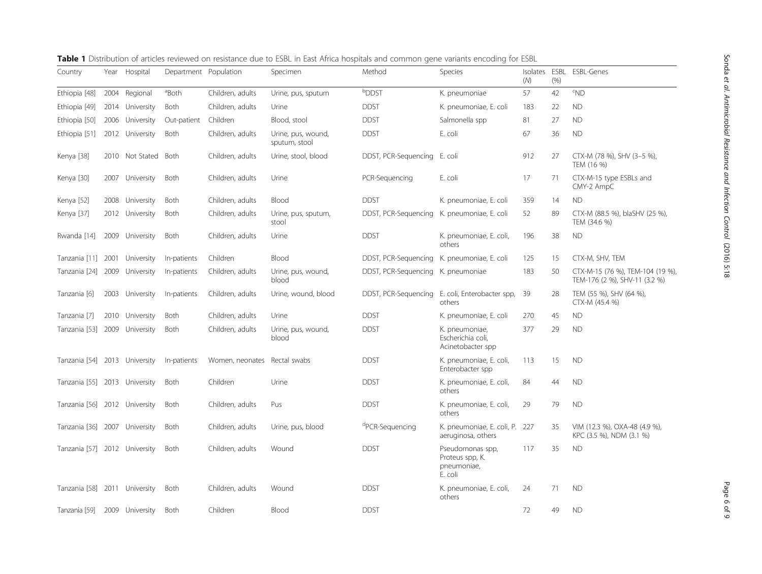| Country                       | Year | Hospital        | Department Population |                  | Specimen                            | Method                                      | Species                                                       | Isolates<br>(M) | ESBL<br>(% ) | <b>ESBL-Genes</b>                                                 |
|-------------------------------|------|-----------------|-----------------------|------------------|-------------------------------------|---------------------------------------------|---------------------------------------------------------------|-----------------|--------------|-------------------------------------------------------------------|
| Ethiopia [48]                 |      | 2004 Regional   | <sup>a</sup> Both     | Children, adults | Urine, pus, sputum                  | <b>bDDST</b>                                | K. pneumoniae                                                 | 57              | 42           | $~^{\circ}$ ND                                                    |
| Ethiopia [49]                 |      | 2014 University | Both                  | Children, adults | Urine                               | <b>DDST</b>                                 | K. pneumoniae, E. coli                                        | 183             | 22           | <b>ND</b>                                                         |
| Ethiopia [50]                 |      | 2006 University | Out-patient           | Children         | Blood, stool                        | <b>DDST</b>                                 | Salmonella spp                                                | 81              | 27           | <b>ND</b>                                                         |
| Ethiopia [51]                 |      | 2012 University | Both                  | Children, adults | Urine, pus, wound,<br>sputum, stool | <b>DDST</b>                                 | E. coli                                                       | 67              | 36           | <b>ND</b>                                                         |
| Kenya [38]                    |      | 2010 Not Stated | Both                  | Children, adults | Urine, stool, blood                 | DDST, PCR-Sequencing                        | E. coli                                                       | 912             | 27           | CTX-M (78 %), SHV (3-5 %),<br>TEM (16 %)                          |
| Kenya [30]                    |      | 2007 University | Both                  | Children, adults | Urine                               | PCR-Sequencing                              | E. coli                                                       | 17              | 71           | CTX-M-15 type ESBLs and<br>CMY-2 AmpC                             |
| Kenya [52]                    | 2008 | University      | Both                  | Children, adults | Blood                               | <b>DDST</b>                                 | K. pneumoniae, E. coli                                        | 359             | 14           | <b>ND</b>                                                         |
| Kenya [37]                    |      | 2012 University | Both                  | Children, adults | Urine, pus, sputum,<br>stool        | DDST, PCR-Sequencing                        | K. pneumoniae, E. coli                                        | 52              | 89           | CTX-M (88.5 %), blaSHV (25 %),<br>TEM (34.6 %)                    |
| Rwanda [14]                   |      | 2009 University | Both                  | Children, adults | Urine                               | <b>DDST</b>                                 | K. pneumoniae, E. coli,<br>others                             | 196             | 38           | <b>ND</b>                                                         |
| Tanzania [11] 2001            |      | University      | In-patients           | Children         | Blood                               | DDST, PCR-Sequencing K. pneumoniae, E. coli |                                                               | 125             | 15           | CTX-M, SHV, TEM                                                   |
| Tanzania [24] 2009 University |      |                 | In-patients           | Children, adults | Urine, pus, wound,<br>blood         | DDST, PCR-Sequencing K. pneumoniae          |                                                               | 183             | 50           | CTX-M-15 (76 %), TEM-104 (19 %),<br>TEM-176 (2 %), SHV-11 (3.2 %) |
| Tanzania [6]                  |      | 2003 University | In-patients           | Children, adults | Urine, wound, blood                 | DDST, PCR-Sequencing                        | E. coli, Enterobacter spp,<br>others                          | 39              | 28           | TEM (55 %), SHV (64 %),<br>CTX-M (45.4 %)                         |
| Tanzania [7]                  |      | 2010 University | Both                  | Children, adults | Urine                               | <b>DDST</b>                                 | K. pneumoniae, E. coli                                        | 270             | 45           | <b>ND</b>                                                         |
| Tanzania [53]                 |      | 2009 University | Both                  | Children, adults | Urine, pus, wound,<br>blood         | <b>DDST</b>                                 | K. pneumoniae,<br>Escherichia coli,<br>Acinetobacter spp      | 377             | 29           | <b>ND</b>                                                         |
| Tanzania [54] 2013 University |      |                 | In-patients           | Women, neonates  | Rectal swabs                        | <b>DDST</b>                                 | K. pneumoniae, E. coli,<br>Enterobacter spp                   | 113             | 15           | <b>ND</b>                                                         |
| Tanzania [55] 2013 University |      |                 | Both                  | Children         | Urine                               | <b>DDST</b>                                 | K. pneumoniae, E. coli,<br>others                             | 84              | 44           | <b>ND</b>                                                         |
| Tanzania [56] 2012 University |      |                 | Both                  | Children, adults | Pus                                 | <b>DDST</b>                                 | K. pneumoniae, E. coli,<br>others                             | 29              | 79           | <b>ND</b>                                                         |
| Tanzania [36] 2007 University |      |                 | Both                  | Children, adults | Urine, pus, blood                   | <sup>d</sup> PCR-Sequencing                 | K. pneumoniae, E. coli, P. 227<br>aeruginosa, others          |                 | 35           | VIM (12.3 %), OXA-48 (4.9 %),<br>KPC (3.5 %), NDM (3.1 %)         |
| Tanzania [57] 2012 University |      |                 | Both                  | Children, adults | Wound                               | <b>DDST</b>                                 | Pseudomonas spp,<br>Proteus spp, K.<br>pneumoniae,<br>E. coli | 117             | 35           | <b>ND</b>                                                         |
| Tanzania [58] 2011 University |      |                 | Both                  | Children, adults | Wound                               | <b>DDST</b>                                 | K. pneumoniae, E. coli,<br>others                             | 24              | 71           | <b>ND</b>                                                         |
| Tanzania [59]                 |      | 2009 University | Both                  | Children         | Blood                               | <b>DDST</b>                                 |                                                               | 72              | 49           | <b>ND</b>                                                         |

<span id="page-5-0"></span>Table 1 Distribution of articles reviewed on resistance due to ESBL in East Africa hospitals and common gene variants encoding for ESBL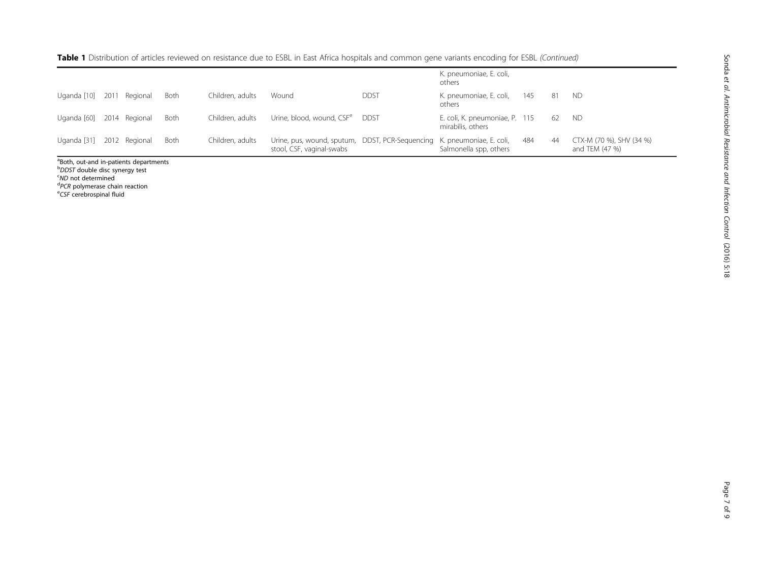| Table 1 Distribution of articles reviewed on resistance due to ESBL in East Africa hospitals and common gene variants encoding for ESBL (Continued) |  |
|-----------------------------------------------------------------------------------------------------------------------------------------------------|--|
|-----------------------------------------------------------------------------------------------------------------------------------------------------|--|

|             |      |               |             |                  |                                                                                                      |             | K. pneumoniae, E. coli,<br>others                   |     |     |                                            |
|-------------|------|---------------|-------------|------------------|------------------------------------------------------------------------------------------------------|-------------|-----------------------------------------------------|-----|-----|--------------------------------------------|
| Uganda [10] | 2011 | Regional      | <b>Both</b> | Children, adults | Wound                                                                                                | <b>DDST</b> | K. pneumoniae, E. coli,<br>others                   | 145 | 81  | <b>ND</b>                                  |
| Uganda [60] |      | 2014 Regional | <b>Both</b> | Children, adults | Urine, blood, wound, CSF <sup>e</sup>                                                                | <b>DDST</b> | E. coli, K. pneumoniae, P. 115<br>mirabilis, others |     | -62 | <b>ND</b>                                  |
| Uganda [31] |      | 2012 Regional | <b>Both</b> | Children, adults | Urine, pus, wound, sputum, DDST, PCR-Sequencing K. pneumoniae, E. coli,<br>stool, CSF, vaginal-swabs |             | Salmonella spp, others                              | 484 | 44  | CTX-M (70 %), SHV (34 %)<br>and TEM (47 %) |

a Both, out-and in-patients departments

<sup>b</sup>DDST double disc synergy test<br><sup>c</sup>ND not determined

<sup>c</sup>ND not determined<br><sup>d</sup>PCR polymerase ch

<sup>d</sup>PCR polymerase chain reaction<br><sup>e</sup>CSF cerebrospinal fluid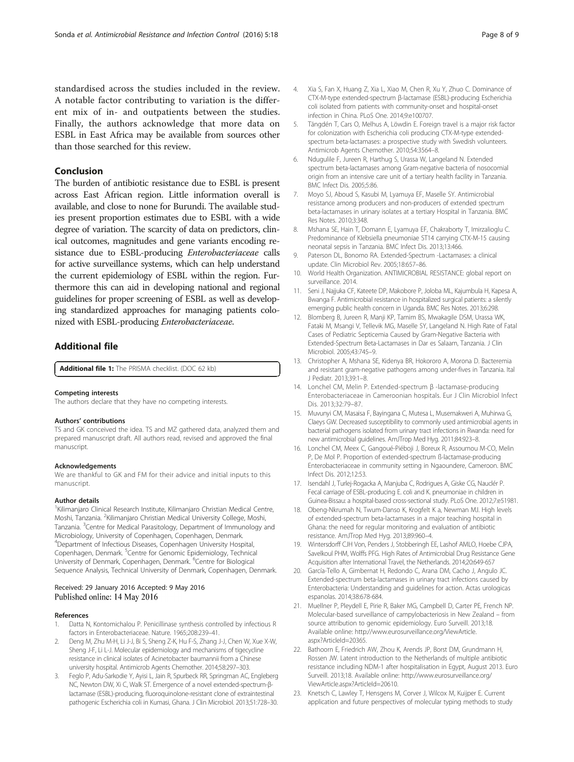<span id="page-7-0"></span>standardised across the studies included in the review. A notable factor contributing to variation is the different mix of in- and outpatients between the studies. Finally, the authors acknowledge that more data on ESBL in East Africa may be available from sources other than those searched for this review.

### Conclusion

The burden of antibiotic resistance due to ESBL is present across East African region. Little information overall is available, and close to none for Burundi. The available studies present proportion estimates due to ESBL with a wide degree of variation. The scarcity of data on predictors, clinical outcomes, magnitudes and gene variants encoding resistance due to ESBL-producing Enterobacteriaceae calls for active surveillance systems, which can help understand the current epidemiology of ESBL within the region. Furthermore this can aid in developing national and regional guidelines for proper screening of ESBL as well as developing standardized approaches for managing patients colonized with ESBL-producing Enterobacteriaceae.

## Additional file

[Additional file 1:](dx.doi.org/10.1186/s13756-016-0117-4) The PRISMA checklist. (DOC 62 kb)

#### Competing interests

The authors declare that they have no competing interests.

#### Authors' contributions

TS and GK conceived the idea. TS and MZ gathered data, analyzed them and prepared manuscript draft. All authors read, revised and approved the final manuscript.

#### Acknowledgements

We are thankful to GK and FM for their advice and initial inputs to this manuscript.

#### Author details

<sup>1</sup> Kilimanjaro Clinical Research Institute, Kilimanjaro Christian Medical Centre, Moshi, Tanzania. <sup>2</sup>Kilimanjaro Christian Medical University College, Moshi, Tanzania. <sup>3</sup>Centre for Medical Parasitology, Department of Immunology and Microbiology, University of Copenhagen, Copenhagen, Denmark. 4 Department of Infectious Diseases, Copenhagen University Hospital, Copenhagen, Denmark. <sup>5</sup>Centre for Genomic Epidemiology, Technical University of Denmark, Copenhagen, Denmark. <sup>6</sup>Centre for Biological Sequence Analysis, Technical University of Denmark, Copenhagen, Denmark.

### Received: 29 January 2016 Accepted: 9 May 2016 Published online: 14 May 2016

#### References

- Datta N, Kontomichalou P. Penicillinase synthesis controlled by infectious R factors in Enterobacteriaceae. Nature. 1965;208:239–41.
- 2. Deng M, Zhu M-H, Li J-J, Bi S, Sheng Z-K, Hu F-S, Zhang J-J, Chen W, Xue X-W, Sheng J-F, Li L-J. Molecular epidemiology and mechanisms of tigecycline resistance in clinical isolates of Acinetobacter baumannii from a Chinese university hospital. Antimicrob Agents Chemother. 2014;58:297–303.
- Feglo P, Adu-Sarkodie Y, Ayisi L, Jain R, Spurbeck RR, Springman AC, Engleberg NC, Newton DW, Xi C, Walk ST. Emergence of a novel extended-spectrum-βlactamase (ESBL)-producing, fluoroquinolone-resistant clone of extraintestinal pathogenic Escherichia coli in Kumasi, Ghana. J Clin Microbiol. 2013;51:728–30.
- 5. Tängdén T, Cars O, Melhus A, Löwdin E. Foreign travel is a major risk factor for colonization with Escherichia coli producing CTX-M-type extendedspectrum beta-lactamases: a prospective study with Swedish volunteers. Antimicrob Agents Chemother. 2010;54:3564–8.
- 6. Ndugulile F, Jureen R, Harthug S, Urassa W, Langeland N. Extended spectrum beta-lactamases among Gram-negative bacteria of nosocomial origin from an intensive care unit of a tertiary health facility in Tanzania. BMC Infect Dis. 2005;5:86.
- 7. Moyo SJ, Aboud S, Kasubi M, Lyamuya EF, Maselle SY. Antimicrobial resistance among producers and non-producers of extended spectrum beta-lactamases in urinary isolates at a tertiary Hospital in Tanzania. BMC Res Notes. 2010;3:348.
- 8. Mshana SE, Hain T, Domann E, Lyamuya EF, Chakraborty T, Imirzalioglu C. Predominance of Klebsiella pneumoniae ST14 carrying CTX-M-15 causing neonatal sepsis in Tanzania. BMC Infect Dis. 2013;13:466.
- 9. Paterson DL, Bonomo RA. Extended-Spectrum -Lactamases: a clinical update. Clin Microbiol Rev. 2005;18:657–86.
- 10. World Health Organization. ANTIMICROBIAL RESISTANCE: global report on surveillance. 2014.
- 11. Seni J, Najjuka CF, Kateete DP, Makobore P, Joloba ML, Kajumbula H, Kapesa A, Bwanga F. Antimicrobial resistance in hospitalized surgical patients: a silently emerging public health concern in Uganda. BMC Res Notes. 2013;6:298.
- 12. Blomberg B, Jureen R, Manji KP, Tamim BS, Mwakagile DSM, Urassa WK, Fataki M, Msangi V, Tellevik MG, Maselle SY, Langeland N. High Rate of Fatal Cases of Pediatric Septicemia Caused by Gram-Negative Bacteria with Extended-Spectrum Beta-Lactamases in Dar es Salaam, Tanzania. J Clin Microbiol. 2005;43:745–9.
- 13. Christopher A, Mshana SE, Kidenya BR, Hokororo A, Morona D. Bacteremia and resistant gram-negative pathogens among under-fives in Tanzania. Ital J Pediatr. 2013;39:1–8.
- 14. Lonchel CM, Melin P. Extended-spectrum β -lactamase-producing Enterobacteriaceae in Cameroonian hospitals. Eur J Clin Microbiol Infect Dis. 2013;32:79–87.
- 15. Muvunyi CM, Masaisa F, Bayingana C, Mutesa L, Musemakweri A, Muhirwa G, Claeys GW. Decreased susceptibility to commonly used antimicrobial agents in bacterial pathogens isolated from urinary tract infections in Rwanda: need for new antimicrobial guidelines. AmJTrop Med Hyg. 2011;84:923–8.
- 16. Lonchel CM, Meex C, Gangoué-Piéboji J, Boreux R, Assoumou M-CO, Melin P, De Mol P. Proportion of extended-spectrum ß-lactamase-producing Enterobacteriaceae in community setting in Ngaoundere, Cameroon. BMC Infect Dis. 2012;12:53.
- 17. Isendahl J, Turlej-Rogacka A, Manjuba C, Rodrigues A, Giske CG, Nauclér P. Fecal carriage of ESBL-producing E. coli and K. pneumoniae in children in Guinea-Bissau: a hospital-based cross-sectional study. PLoS One. 2012;7:e51981.
- 18. Obeng-Nkrumah N, Twum-Danso K, Krogfelt K a, Newman MJ. High levels of extended-spectrum beta-lactamases in a major teaching hospital in Ghana: the need for regular monitoring and evaluation of antibiotic resistance. AmJTrop Med Hyg. 2013;89:960–4.
- 19. Wintersdorff CJH Von, Penders J, Stobberingh EE, Lashof AMLO, Hoebe CJPA, Savelkoul PHM, Wolffs PFG. High Rates of Antimicrobial Drug Resistance Gene Acquisition after International Travel, the Netherlands. 2014;20:649-657
- 20. García-Tello A, Gimbernat H, Redondo C, Arana DM, Cacho J, Angulo JC. Extended-spectrum beta-lactamases in urinary tract infections caused by Enterobacteria: Understanding and guidelines for action. Actas urologicas espanolas. 2014;38:678-684.
- 21. Muellner P, Pleydell E, Pirie R, Baker MG, Campbell D, Carter PE, French NP. Molecular-based surveillance of campylobacteriosis in New Zealand – from source attribution to genomic epidemiology. Euro Surveill. 2013;18. Available online: [http://www.eurosurveillance.org/ViewArticle.](http://www.eurosurveillance.org/ViewArticle.aspx?ArticleId=20365) [aspx?ArticleId=20365.](http://www.eurosurveillance.org/ViewArticle.aspx?ArticleId=20365)
- 22. Bathoorn E, Friedrich AW, Zhou K, Arends JP, Borst DM, Grundmann H, Rossen JW. Latent introduction to the Netherlands of multiple antibiotic resistance including NDM-1 after hospitalisation in Egypt, August 2013. Euro Surveill. 2013;18. Available online: [http://www.eurosurveillance.org/](http://www.eurosurveillance.org/ViewArticle.aspx?ArticleId=20610) [ViewArticle.aspx?ArticleId=20610](http://www.eurosurveillance.org/ViewArticle.aspx?ArticleId=20610).
- 23. Knetsch C, Lawley T, Hensgens M, Corver J, Wilcox M, Kuijper E. Current application and future perspectives of molecular typing methods to study